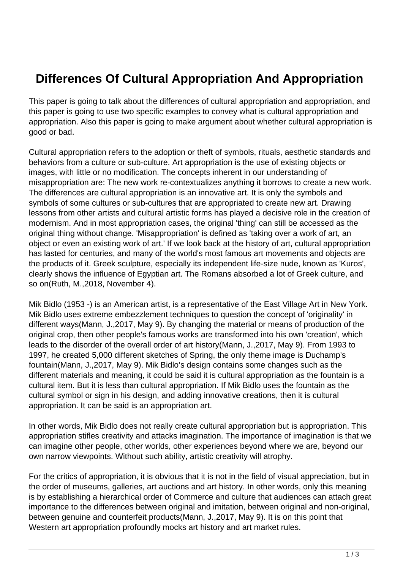## **Differences Of Cultural Appropriation And Appropriation**

This paper is going to talk about the differences of cultural appropriation and appropriation, and this paper is going to use two specific examples to convey what is cultural appropriation and appropriation. Also this paper is going to make argument about whether cultural appropriation is good or bad.

Cultural appropriation refers to the adoption or theft of symbols, rituals, aesthetic standards and behaviors from a culture or sub-culture. Art appropriation is the use of existing objects or images, with little or no modification. The concepts inherent in our understanding of misappropriation are: The new work re-contextualizes anything it borrows to create a new work. The differences are cultural appropriation is an innovative art. It is only the symbols and symbols of some cultures or sub-cultures that are appropriated to create new art. Drawing lessons from other artists and cultural artistic forms has played a decisive role in the creation of modernism. And in most appropriation cases, the original 'thing' can still be accessed as the original thing without change. 'Misappropriation' is defined as 'taking over a work of art, an object or even an existing work of art.' If we look back at the history of art, cultural appropriation has lasted for centuries, and many of the world's most famous art movements and objects are the products of it. Greek sculpture, especially its independent life-size nude, known as 'Kuros', clearly shows the influence of Egyptian art. The Romans absorbed a lot of Greek culture, and so on(Ruth, M.,2018, November 4).

Mik Bidlo (1953 -) is an American artist, is a representative of the East Village Art in New York. Mik Bidlo uses extreme embezzlement techniques to question the concept of 'originality' in different ways(Mann, J.,2017, May 9). By changing the material or means of production of the original crop, then other people's famous works are transformed into his own 'creation', which leads to the disorder of the overall order of art history(Mann, J.,2017, May 9). From 1993 to 1997, he created 5,000 different sketches of Spring, the only theme image is Duchamp's fountain(Mann, J.,2017, May 9). Mik Bidlo's design contains some changes such as the different materials and meaning, it could be said it is cultural appropriation as the fountain is a cultural item. But it is less than cultural appropriation. If Mik Bidlo uses the fountain as the cultural symbol or sign in his design, and adding innovative creations, then it is cultural appropriation. It can be said is an appropriation art.

In other words, Mik Bidlo does not really create cultural appropriation but is appropriation. This appropriation stifles creativity and attacks imagination. The importance of imagination is that we can imagine other people, other worlds, other experiences beyond where we are, beyond our own narrow viewpoints. Without such ability, artistic creativity will atrophy.

For the critics of appropriation, it is obvious that it is not in the field of visual appreciation, but in the order of museums, galleries, art auctions and art history. In other words, only this meaning is by establishing a hierarchical order of Commerce and culture that audiences can attach great importance to the differences between original and imitation, between original and non-original, between genuine and counterfeit products(Mann, J.,2017, May 9). It is on this point that Western art appropriation profoundly mocks art history and art market rules.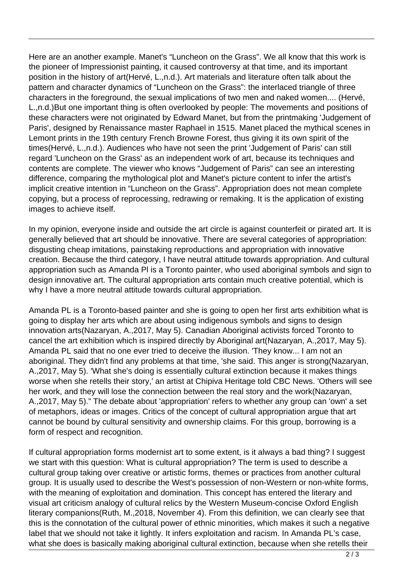Here are an another example. Manet's "Luncheon on the Grass". We all know that this work is the pioneer of Impressionist painting, it caused controversy at that time, and its important position in the history of art(Hervé, L.,n.d.). Art materials and literature often talk about the pattern and character dynamics of "Luncheon on the Grass": the interlaced triangle of three characters in the foreground, the sexual implications of two men and naked women.... (Hervé, L.,n.d.)But one important thing is often overlooked by people: The movements and positions of these characters were not originated by Edward Manet, but from the printmaking 'Judgement of Paris', designed by Renaissance master Raphael in 1515. Manet placed the mythical scenes in Lemont prints in the 19th century French Browne Forest, thus giving it its own spirit of the times(Hervé, L.,n.d.). Audiences who have not seen the print 'Judgement of Paris' can still regard 'Luncheon on the Grass' as an independent work of art, because its techniques and contents are complete. The viewer who knows "Judgement of Paris" can see an interesting difference, comparing the mythological plot and Manet's picture content to infer the artist's implicit creative intention in "Luncheon on the Grass". Appropriation does not mean complete copying, but a process of reprocessing, redrawing or remaking. It is the application of existing images to achieve itself.

In my opinion, everyone inside and outside the art circle is against counterfeit or pirated art. It is generally believed that art should be innovative. There are several categories of appropriation: disgusting cheap imitations, painstaking reproductions and appropriation with innovative creation. Because the third category, I have neutral attitude towards appropriation. And cultural appropriation such as Amanda Pl is a Toronto painter, who used aboriginal symbols and sign to design innovative art. The cultural appropriation arts contain much creative potential, which is why I have a more neutral attitude towards cultural appropriation.

Amanda PL is a Toronto-based painter and she is going to open her first arts exhibition what is going to display her arts which are about using indigenous symbols and signs to design innovation arts(Nazaryan, A.,2017, May 5). Canadian Aboriginal activists forced Toronto to cancel the art exhibition which is inspired directly by Aboriginal art(Nazaryan, A.,2017, May 5). Amanda PL said that no one ever tried to deceive the illusion. 'They know... I am not an aboriginal. They didn't find any problems at that time, 'she said. This anger is strong(Nazaryan, A.,2017, May 5). 'What she's doing is essentially cultural extinction because it makes things worse when she retells their story,' an artist at Chipiva Heritage told CBC News. 'Others will see her work, and they will lose the connection between the real story and the work(Nazaryan, A.,2017, May 5)." The debate about 'appropriation' refers to whether any group can 'own' a set of metaphors, ideas or images. Critics of the concept of cultural appropriation argue that art cannot be bound by cultural sensitivity and ownership claims. For this group, borrowing is a form of respect and recognition.

If cultural appropriation forms modernist art to some extent, is it always a bad thing? I suggest we start with this question: What is cultural appropriation? The term is used to describe a cultural group taking over creative or artistic forms, themes or practices from another cultural group. It is usually used to describe the West's possession of non-Western or non-white forms, with the meaning of exploitation and domination. This concept has entered the literary and visual art criticism analogy of cultural relics by the Western Museum-concise Oxford English literary companions(Ruth, M.,2018, November 4). From this definition, we can clearly see that this is the connotation of the cultural power of ethnic minorities, which makes it such a negative label that we should not take it lightly. It infers exploitation and racism. In Amanda PL's case, what she does is basically making aboriginal cultural extinction, because when she retells their